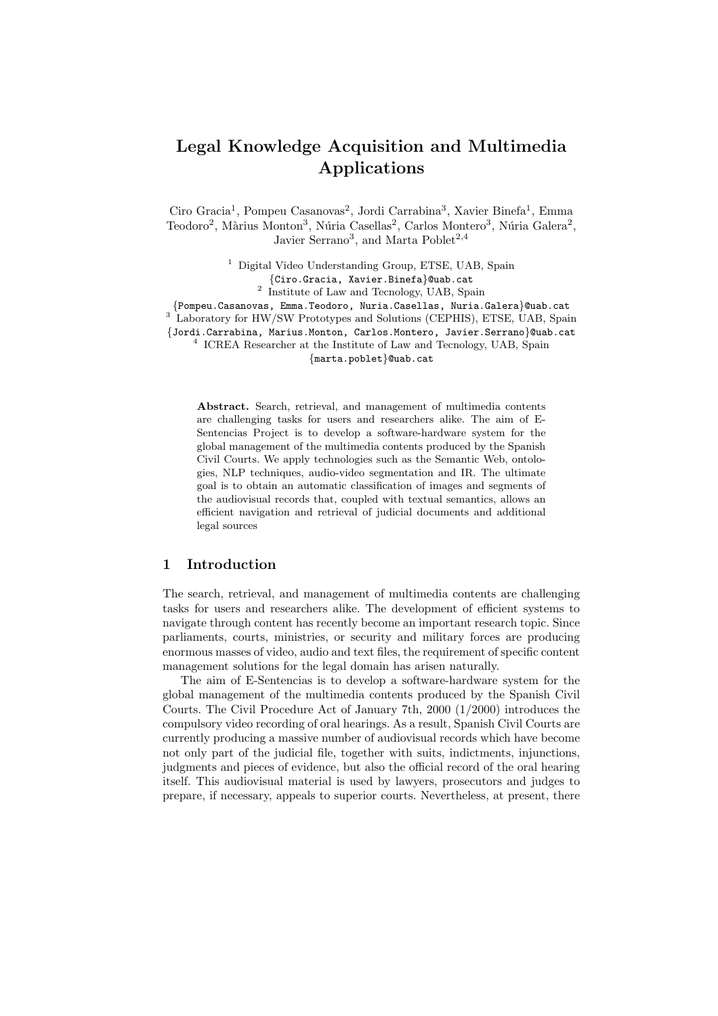# Legal Knowledge Acquisition and Multimedia Applications

Ciro Gracia<sup>1</sup>, Pompeu Casanovas<sup>2</sup>, Jordi Carrabina<sup>3</sup>, Xavier Binefa<sup>1</sup>, Emma Teodoro<sup>2</sup>, Màrius Monton<sup>3</sup>, Núria Casellas<sup>2</sup>, Carlos Montero<sup>3</sup>, Núria Galera<sup>2</sup>, Javier Serrano<sup>3</sup>, and Marta Poblet<sup>2,4</sup>

> <sup>1</sup> Digital Video Understanding Group, ETSE, UAB, Spain {Ciro.Gracia, Xavier.Binefa}@uab.cat

2 Institute of Law and Tecnology, UAB, Spain

{Pompeu.Casanovas, Emma.Teodoro, Nuria.Casellas, Nuria.Galera}@uab.cat

<sup>3</sup> Laboratory for HW/SW Prototypes and Solutions (CEPHIS), ETSE, UAB, Spain

{Jordi.Carrabina, Marius.Monton, Carlos.Montero, Javier.Serrano}@uab.cat

4 ICREA Researcher at the Institute of Law and Tecnology, UAB, Spain

{marta.poblet}@uab.cat

Abstract. Search, retrieval, and management of multimedia contents are challenging tasks for users and researchers alike. The aim of E-Sentencias Project is to develop a software-hardware system for the global management of the multimedia contents produced by the Spanish Civil Courts. We apply technologies such as the Semantic Web, ontologies, NLP techniques, audio-video segmentation and IR. The ultimate goal is to obtain an automatic classification of images and segments of the audiovisual records that, coupled with textual semantics, allows an efficient navigation and retrieval of judicial documents and additional legal sources

### 1 Introduction

The search, retrieval, and management of multimedia contents are challenging tasks for users and researchers alike. The development of efficient systems to navigate through content has recently become an important research topic. Since parliaments, courts, ministries, or security and military forces are producing enormous masses of video, audio and text files, the requirement of specific content management solutions for the legal domain has arisen naturally.

The aim of E-Sentencias is to develop a software-hardware system for the global management of the multimedia contents produced by the Spanish Civil Courts. The Civil Procedure Act of January 7th, 2000 (1/2000) introduces the compulsory video recording of oral hearings. As a result, Spanish Civil Courts are currently producing a massive number of audiovisual records which have become not only part of the judicial file, together with suits, indictments, injunctions, judgments and pieces of evidence, but also the official record of the oral hearing itself. This audiovisual material is used by lawyers, prosecutors and judges to prepare, if necessary, appeals to superior courts. Nevertheless, at present, there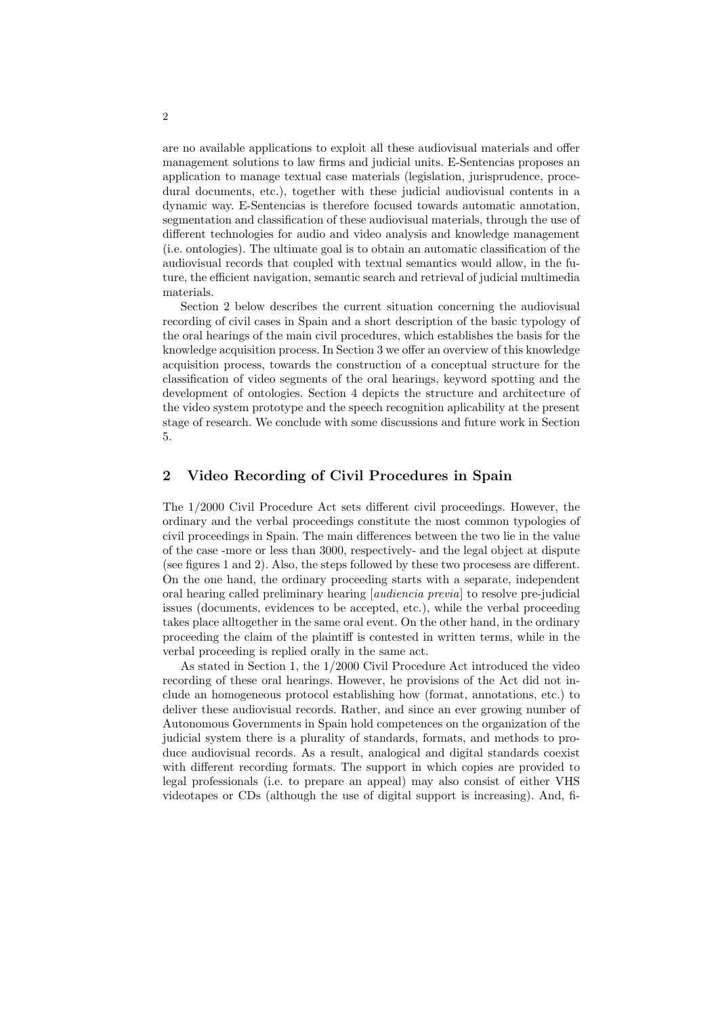are no available applications to exploit all these audiovisual materials and offer management solutions to law firms and judicial units. E-Sentencias proposes an application to manage textual case materials (legislation, jurisprudence, procedural documents, etc.), together with these judicial audiovisual contents in a dynamic way. E-Sentencias is therefore focused towards automatic annotation, segmentation and classification of these audiovisual materials, through the use of different technologies for audio and video analysis and knowledge management (i.e. ontologies). The ultimate goal is to obtain an automatic classification of the audiovisual records that coupled with textual semantics would allow, in the future, the efficient navigation, semantic search and retrieval of judicial multimedia materials.

Section 2 below describes the current situation concerning the audiovisual recording of civil cases in Spain and a short description of the basic typology of the oral hearings of the main civil procedures, which establishes the basis for the knowledge acquisition process. In Section 3 we offer an overview of this knowledge acquisition process, towards the construction of a conceptual structure for the classification of video segments of the oral hearings, keyword spotting and the development of ontologies. Section 4 depicts the structure and architecture of the video system prototype and the speech recognition aplicability at the present stage of research. We conclude with some discussions and future work in Section 5.

## 2 Video Recording of Civil Procedures in Spain

The 1/2000 Civil Procedure Act sets different civil proceedings. However, the ordinary and the verbal proceedings constitute the most common typologies of civil proceedings in Spain. The main differences between the two lie in the value of the case -more or less than 3000, respectively- and the legal object at dispute (see figures 1 and 2). Also, the steps followed by these two procesess are different. On the one hand, the ordinary proceeding starts with a separate, independent oral hearing called preliminary hearing [audiencia previa] to resolve pre-judicial issues (documents, evidences to be accepted, etc.), while the verbal proceeding takes place alltogether in the same oral event. On the other hand, in the ordinary proceeding the claim of the plaintiff is contested in written terms, while in the verbal proceeding is replied orally in the same act.

As stated in Section 1, the 1/2000 Civil Procedure Act introduced the video recording of these oral hearings. However, he provisions of the Act did not include an homogeneous protocol establishing how (format, annotations, etc.) to deliver these audiovisual records. Rather, and since an ever growing number of Autonomous Governments in Spain hold competences on the organization of the judicial system there is a plurality of standards, formats, and methods to produce audiovisual records. As a result, analogical and digital standards coexist with different recording formats. The support in which copies are provided to legal professionals (i.e. to prepare an appeal) may also consist of either VHS videotapes or CDs (although the use of digital support is increasing). And, fi-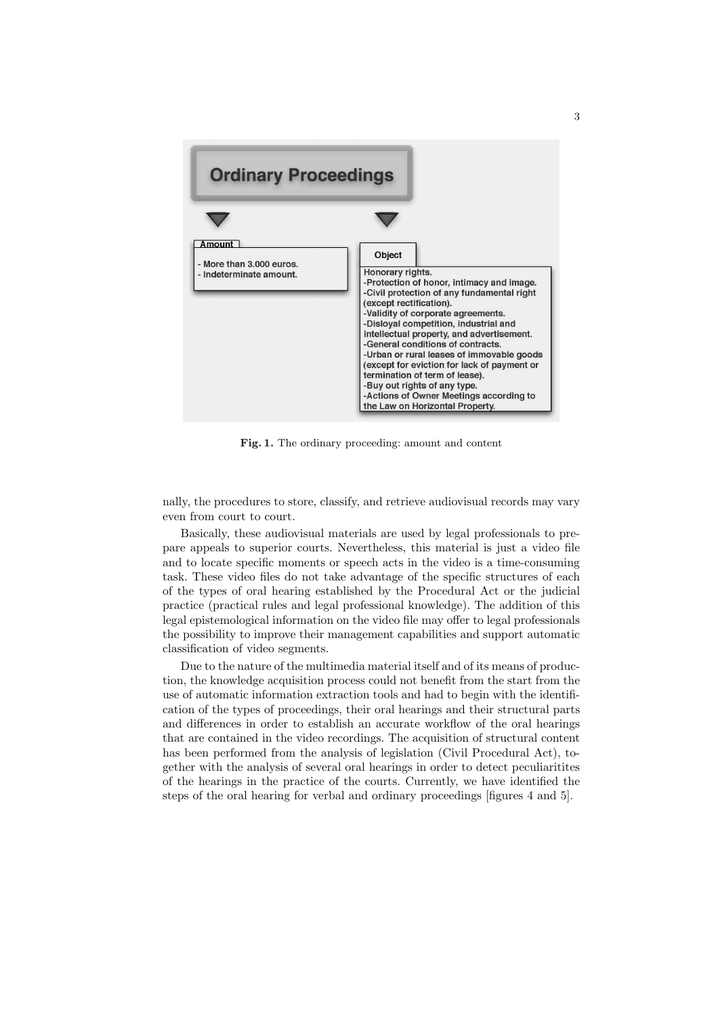

Fig. 1. The ordinary proceeding: amount and content

nally, the procedures to store, classify, and retrieve audiovisual records may vary even from court to court.

Basically, these audiovisual materials are used by legal professionals to prepare appeals to superior courts. Nevertheless, this material is just a video file and to locate specific moments or speech acts in the video is a time-consuming task. These video files do not take advantage of the specific structures of each of the types of oral hearing established by the Procedural Act or the judicial practice (practical rules and legal professional knowledge). The addition of this legal epistemological information on the video file may offer to legal professionals the possibility to improve their management capabilities and support automatic classification of video segments.

Due to the nature of the multimedia material itself and of its means of production, the knowledge acquisition process could not benefit from the start from the use of automatic information extraction tools and had to begin with the identification of the types of proceedings, their oral hearings and their structural parts and differences in order to establish an accurate workflow of the oral hearings that are contained in the video recordings. The acquisition of structural content has been performed from the analysis of legislation (Civil Procedural Act), together with the analysis of several oral hearings in order to detect peculiaritites of the hearings in the practice of the courts. Currently, we have identified the steps of the oral hearing for verbal and ordinary proceedings [figures 4 and 5].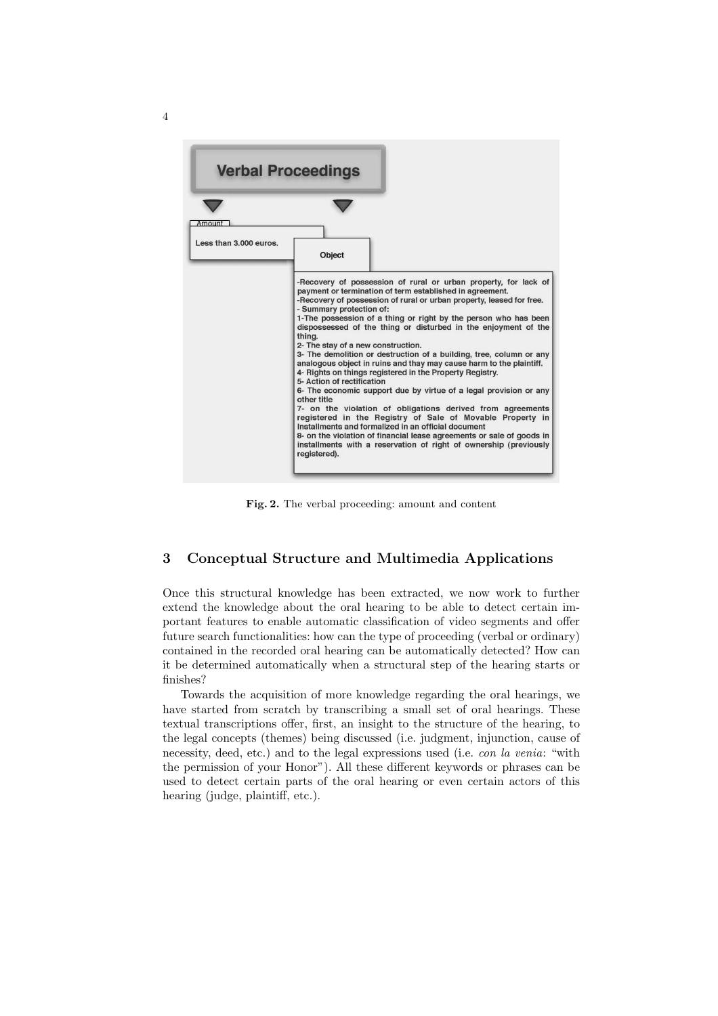

Fig. 2. The verbal proceeding: amount and content

## 3 Conceptual Structure and Multimedia Applications

Once this structural knowledge has been extracted, we now work to further extend the knowledge about the oral hearing to be able to detect certain important features to enable automatic classification of video segments and offer future search functionalities: how can the type of proceeding (verbal or ordinary) contained in the recorded oral hearing can be automatically detected? How can it be determined automatically when a structural step of the hearing starts or finishes?

Towards the acquisition of more knowledge regarding the oral hearings, we have started from scratch by transcribing a small set of oral hearings. These textual transcriptions offer, first, an insight to the structure of the hearing, to the legal concepts (themes) being discussed (i.e. judgment, injunction, cause of necessity, deed, etc.) and to the legal expressions used (i.e. con la venia: "with the permission of your Honor"). All these different keywords or phrases can be used to detect certain parts of the oral hearing or even certain actors of this hearing (judge, plaintiff, etc.).

4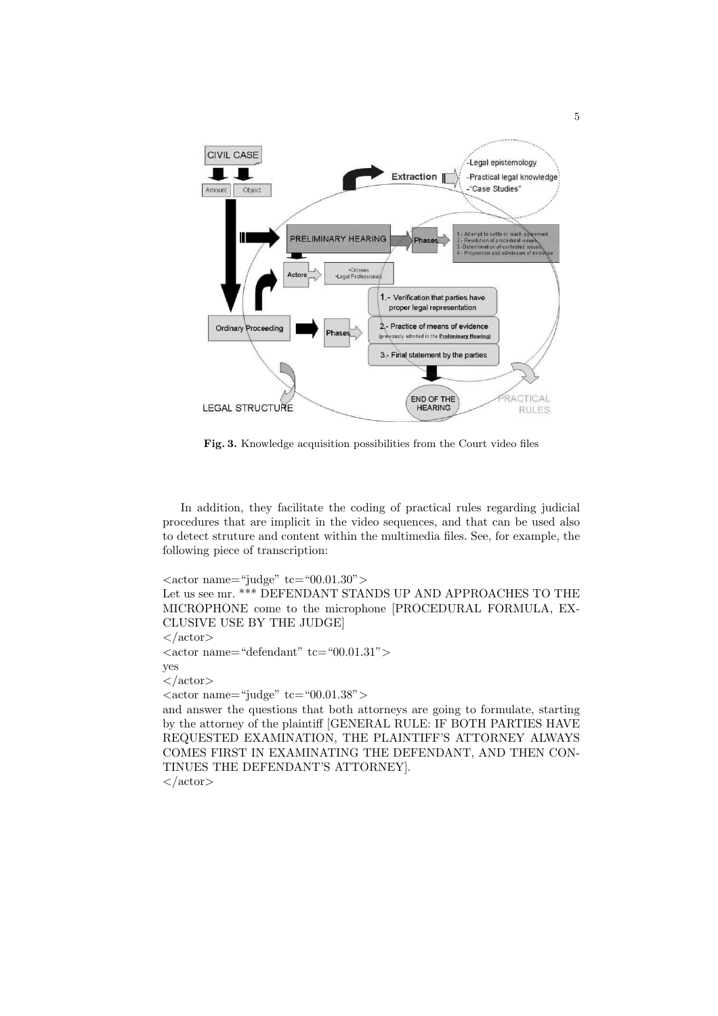

Fig. 3. Knowledge acquisition possibilities from the Court video files

In addition, they facilitate the coding of practical rules regarding judicial procedures that are implicit in the video sequences, and that can be used also to detect struture and content within the multimedia files. See, for example, the following piece of transcription:

 $\langle \text{actor name} = \text{``judge''} \text{tc} = \text{``00.01.30''} \rangle$ Let us see mr. \*\*\* DEFENDANT STANDS UP AND APPROACHES TO THE MICROPHONE come to the microphone [PROCEDURAL FORMULA, EX-CLUSIVE USE BY THE JUDGE]  $\langle$ actor $>$  $\langle \text{actor name} = \text{``default''} t\text{c} = \text{``00.01.31''} \rangle$ yes  $\langle$ actor $\rangle$  $<$ actor name="judge" tc="00.01.38"> and answer the questions that both attorneys are going to formulate, starting by the attorney of the plaintiff [GENERAL RULE: IF BOTH PARTIES HAVE REQUESTED EXAMINATION, THE PLAINTIFF'S ATTORNEY ALWAYS COMES FIRST IN EXAMINATING THE DEFENDANT, AND THEN CON-TINUES THE DEFENDANT'S ATTORNEY].

 $\langle$  actor>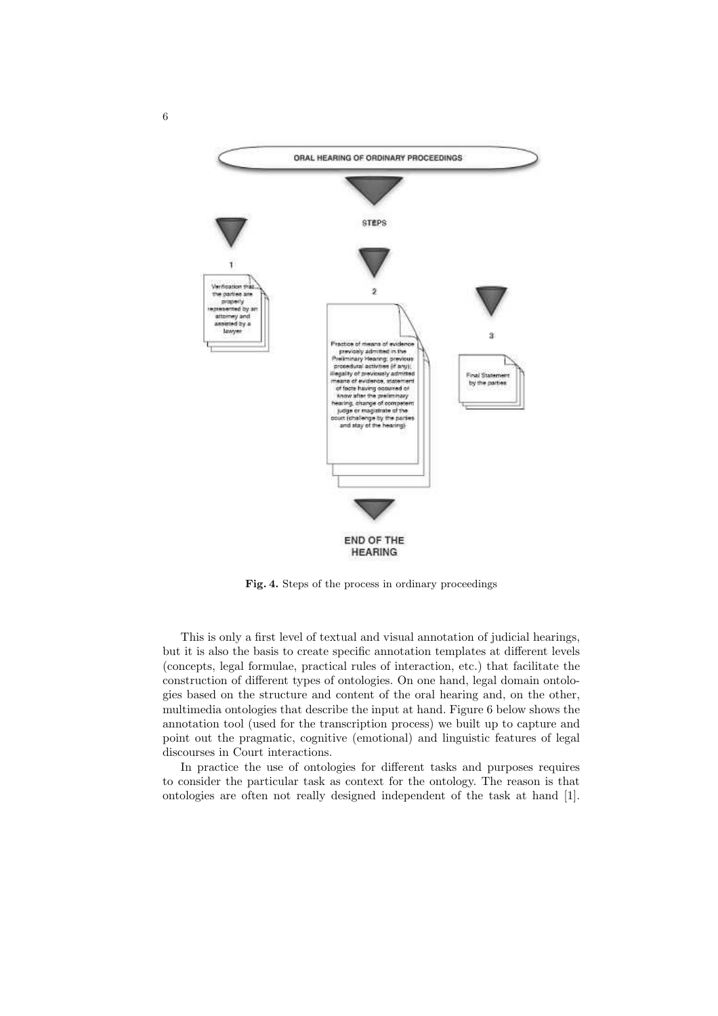

Fig. 4. Steps of the process in ordinary proceedings

This is only a first level of textual and visual annotation of judicial hearings, but it is also the basis to create specific annotation templates at different levels (concepts, legal formulae, practical rules of interaction, etc.) that facilitate the construction of different types of ontologies. On one hand, legal domain ontologies based on the structure and content of the oral hearing and, on the other, multimedia ontologies that describe the input at hand. Figure 6 below shows the annotation tool (used for the transcription process) we built up to capture and point out the pragmatic, cognitive (emotional) and linguistic features of legal discourses in Court interactions.

In practice the use of ontologies for different tasks and purposes requires to consider the particular task as context for the ontology. The reason is that ontologies are often not really designed independent of the task at hand [1].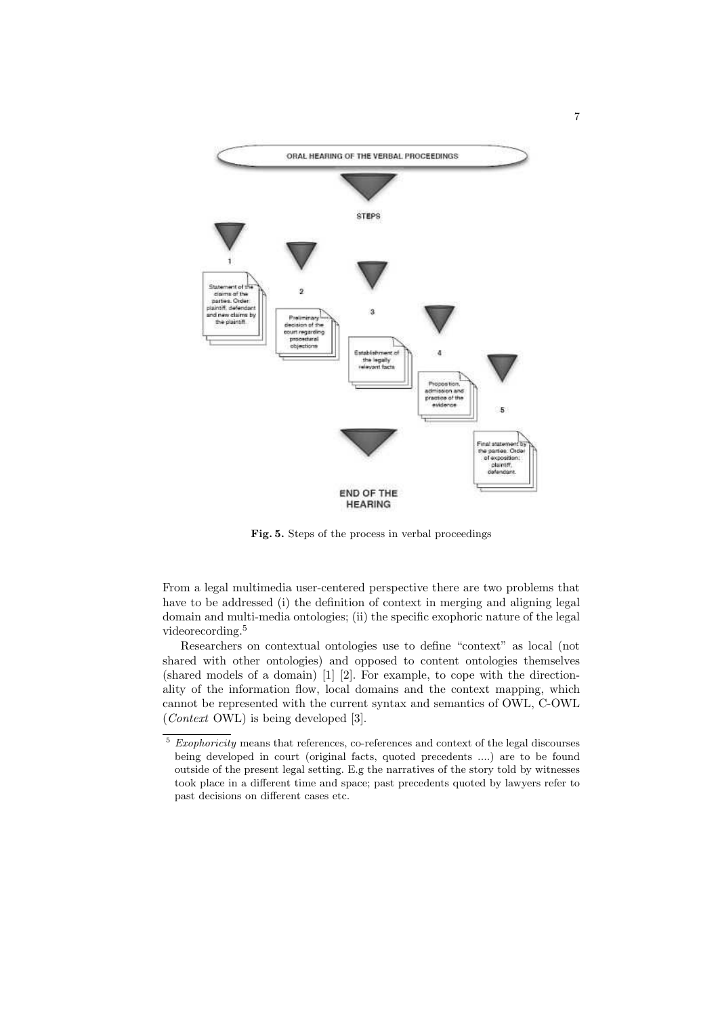

Fig. 5. Steps of the process in verbal proceedings

From a legal multimedia user-centered perspective there are two problems that have to be addressed (i) the definition of context in merging and aligning legal domain and multi-media ontologies; (ii) the specific exophoric nature of the legal videorecording.<sup>5</sup>

Researchers on contextual ontologies use to define "context" as local (not shared with other ontologies) and opposed to content ontologies themselves (shared models of a domain) [1] [2]. For example, to cope with the directionality of the information flow, local domains and the context mapping, which cannot be represented with the current syntax and semantics of OWL, C-OWL (Context OWL) is being developed [3].

 $^5\,$   $Exophoricity$  means that references, co-references and context of the legal discourses being developed in court (original facts, quoted precedents ....) are to be found outside of the present legal setting. E.g the narratives of the story told by witnesses took place in a different time and space; past precedents quoted by lawyers refer to past decisions on different cases etc.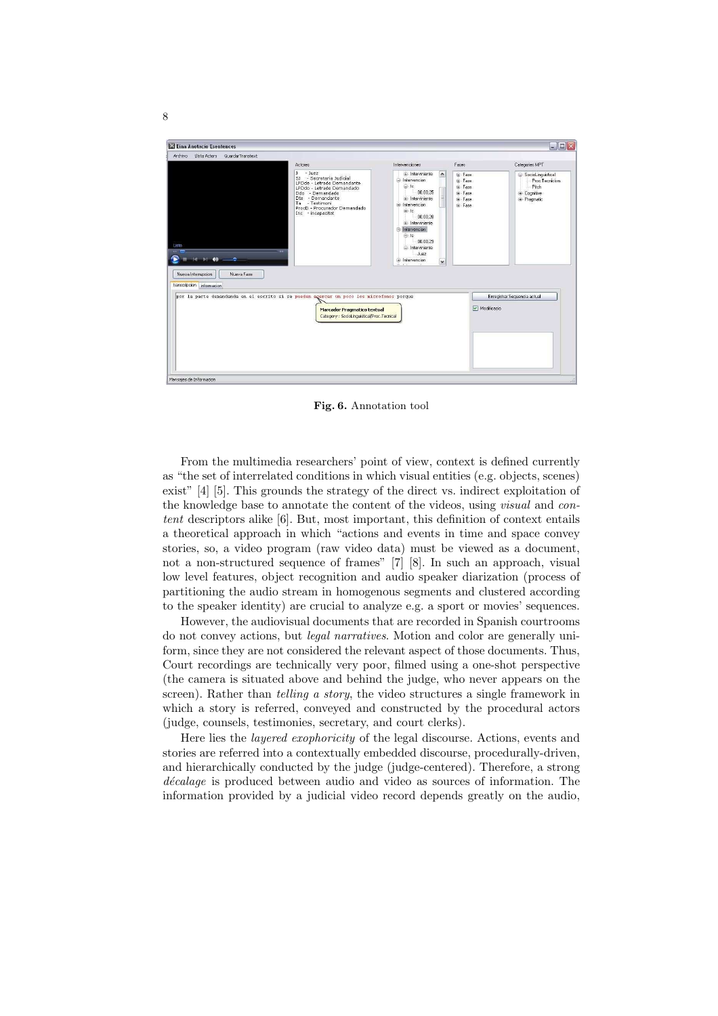

Fig. 6. Annotation tool

From the multimedia researchers' point of view, context is defined currently as "the set of interrelated conditions in which visual entities (e.g. objects, scenes) exist" [4] [5]. This grounds the strategy of the direct vs. indirect exploitation of the knowledge base to annotate the content of the videos, using visual and content descriptors alike [6]. But, most important, this definition of context entails a theoretical approach in which "actions and events in time and space convey stories, so, a video program (raw video data) must be viewed as a document, not a non-structured sequence of frames" [7] [8]. In such an approach, visual low level features, object recognition and audio speaker diarization (process of partitioning the audio stream in homogenous segments and clustered according to the speaker identity) are crucial to analyze e.g. a sport or movies' sequences.

However, the audiovisual documents that are recorded in Spanish courtrooms do not convey actions, but legal narratives. Motion and color are generally uniform, since they are not considered the relevant aspect of those documents. Thus, Court recordings are technically very poor, filmed using a one-shot perspective (the camera is situated above and behind the judge, who never appears on the screen). Rather than *telling a story*, the video structures a single framework in which a story is referred, conveyed and constructed by the procedural actors (judge, counsels, testimonies, secretary, and court clerks).

Here lies the layered exophoricity of the legal discourse. Actions, events and stories are referred into a contextually embedded discourse, procedurally-driven, and hierarchically conducted by the judge (judge-centered). Therefore, a strong décalage is produced between audio and video as sources of information. The information provided by a judicial video record depends greatly on the audio,

8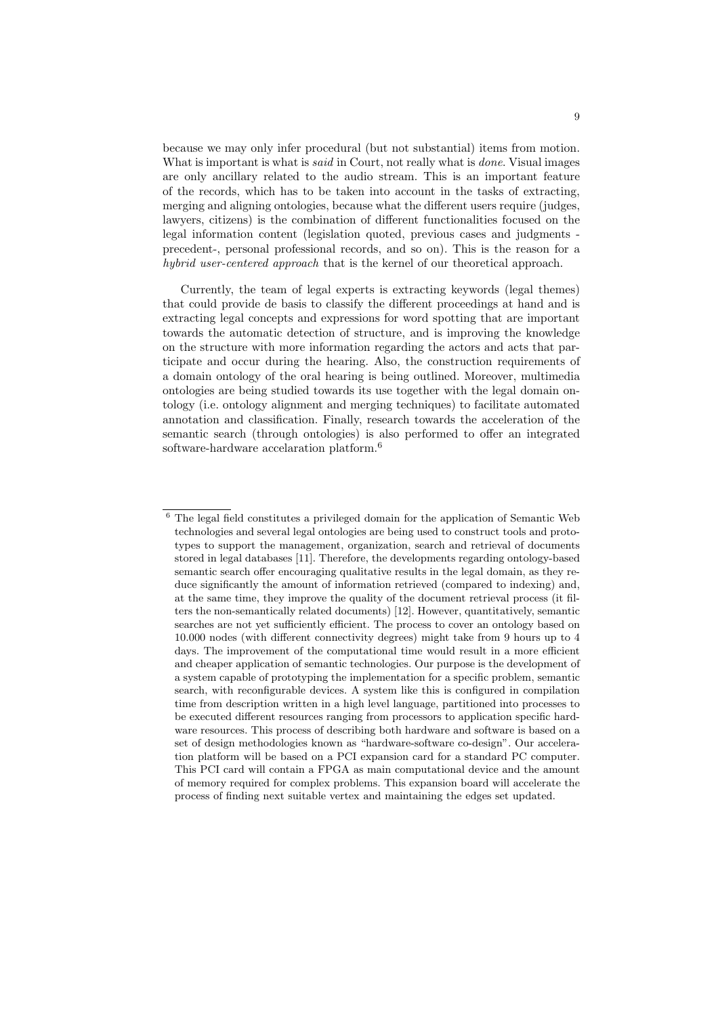because we may only infer procedural (but not substantial) items from motion. What is important is what is *said* in Court, not really what is *done*. Visual images are only ancillary related to the audio stream. This is an important feature of the records, which has to be taken into account in the tasks of extracting, merging and aligning ontologies, because what the different users require (judges, lawyers, citizens) is the combination of different functionalities focused on the legal information content (legislation quoted, previous cases and judgments precedent-, personal professional records, and so on). This is the reason for a hybrid user-centered approach that is the kernel of our theoretical approach.

Currently, the team of legal experts is extracting keywords (legal themes) that could provide de basis to classify the different proceedings at hand and is extracting legal concepts and expressions for word spotting that are important towards the automatic detection of structure, and is improving the knowledge on the structure with more information regarding the actors and acts that participate and occur during the hearing. Also, the construction requirements of a domain ontology of the oral hearing is being outlined. Moreover, multimedia ontologies are being studied towards its use together with the legal domain ontology (i.e. ontology alignment and merging techniques) to facilitate automated annotation and classification. Finally, research towards the acceleration of the semantic search (through ontologies) is also performed to offer an integrated software-hardware accelaration platform.<sup>6</sup>

 $6$  The legal field constitutes a privileged domain for the application of Semantic Web technologies and several legal ontologies are being used to construct tools and prototypes to support the management, organization, search and retrieval of documents stored in legal databases [11]. Therefore, the developments regarding ontology-based semantic search offer encouraging qualitative results in the legal domain, as they reduce significantly the amount of information retrieved (compared to indexing) and, at the same time, they improve the quality of the document retrieval process (it filters the non-semantically related documents) [12]. However, quantitatively, semantic searches are not yet sufficiently efficient. The process to cover an ontology based on 10.000 nodes (with different connectivity degrees) might take from 9 hours up to 4 days. The improvement of the computational time would result in a more efficient and cheaper application of semantic technologies. Our purpose is the development of a system capable of prototyping the implementation for a specific problem, semantic search, with reconfigurable devices. A system like this is configured in compilation time from description written in a high level language, partitioned into processes to be executed different resources ranging from processors to application specific hardware resources. This process of describing both hardware and software is based on a set of design methodologies known as "hardware-software co-design". Our acceleration platform will be based on a PCI expansion card for a standard PC computer. This PCI card will contain a FPGA as main computational device and the amount of memory required for complex problems. This expansion board will accelerate the process of finding next suitable vertex and maintaining the edges set updated.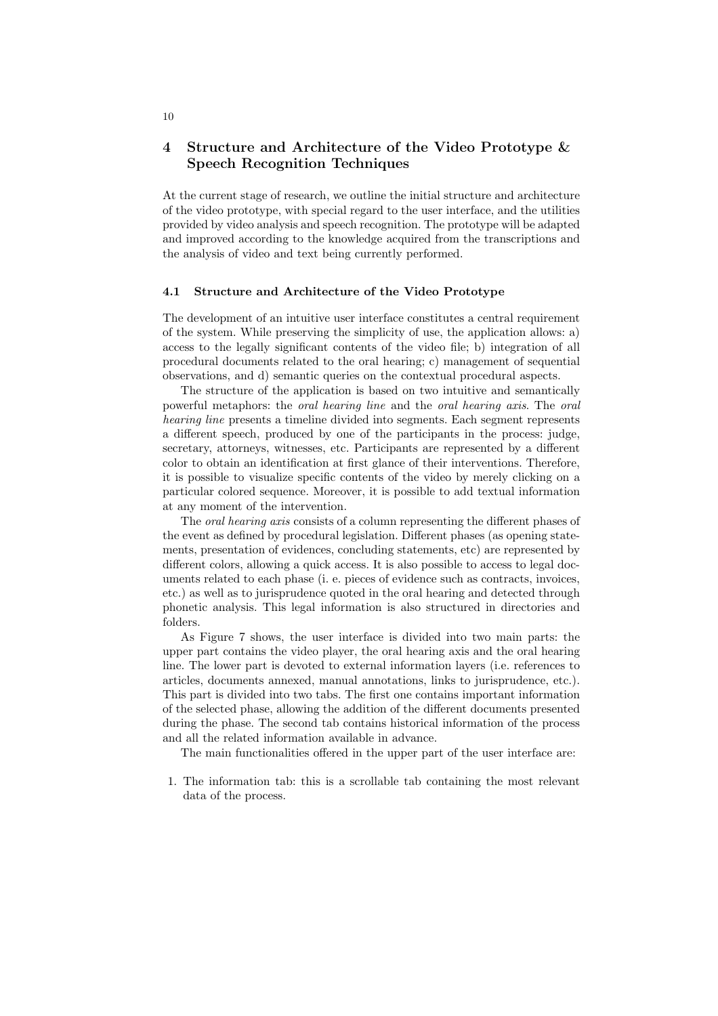# 4 Structure and Architecture of the Video Prototype & Speech Recognition Techniques

At the current stage of research, we outline the initial structure and architecture of the video prototype, with special regard to the user interface, and the utilities provided by video analysis and speech recognition. The prototype will be adapted and improved according to the knowledge acquired from the transcriptions and the analysis of video and text being currently performed.

#### 4.1 Structure and Architecture of the Video Prototype

The development of an intuitive user interface constitutes a central requirement of the system. While preserving the simplicity of use, the application allows: a) access to the legally significant contents of the video file; b) integration of all procedural documents related to the oral hearing; c) management of sequential observations, and d) semantic queries on the contextual procedural aspects.

The structure of the application is based on two intuitive and semantically powerful metaphors: the oral hearing line and the oral hearing axis. The oral hearing line presents a timeline divided into segments. Each segment represents a different speech, produced by one of the participants in the process: judge, secretary, attorneys, witnesses, etc. Participants are represented by a different color to obtain an identification at first glance of their interventions. Therefore, it is possible to visualize specific contents of the video by merely clicking on a particular colored sequence. Moreover, it is possible to add textual information at any moment of the intervention.

The oral hearing axis consists of a column representing the different phases of the event as defined by procedural legislation. Different phases (as opening statements, presentation of evidences, concluding statements, etc) are represented by different colors, allowing a quick access. It is also possible to access to legal documents related to each phase (i. e. pieces of evidence such as contracts, invoices, etc.) as well as to jurisprudence quoted in the oral hearing and detected through phonetic analysis. This legal information is also structured in directories and folders.

As Figure 7 shows, the user interface is divided into two main parts: the upper part contains the video player, the oral hearing axis and the oral hearing line. The lower part is devoted to external information layers (i.e. references to articles, documents annexed, manual annotations, links to jurisprudence, etc.). This part is divided into two tabs. The first one contains important information of the selected phase, allowing the addition of the different documents presented during the phase. The second tab contains historical information of the process and all the related information available in advance.

The main functionalities offered in the upper part of the user interface are:

1. The information tab: this is a scrollable tab containing the most relevant data of the process.

10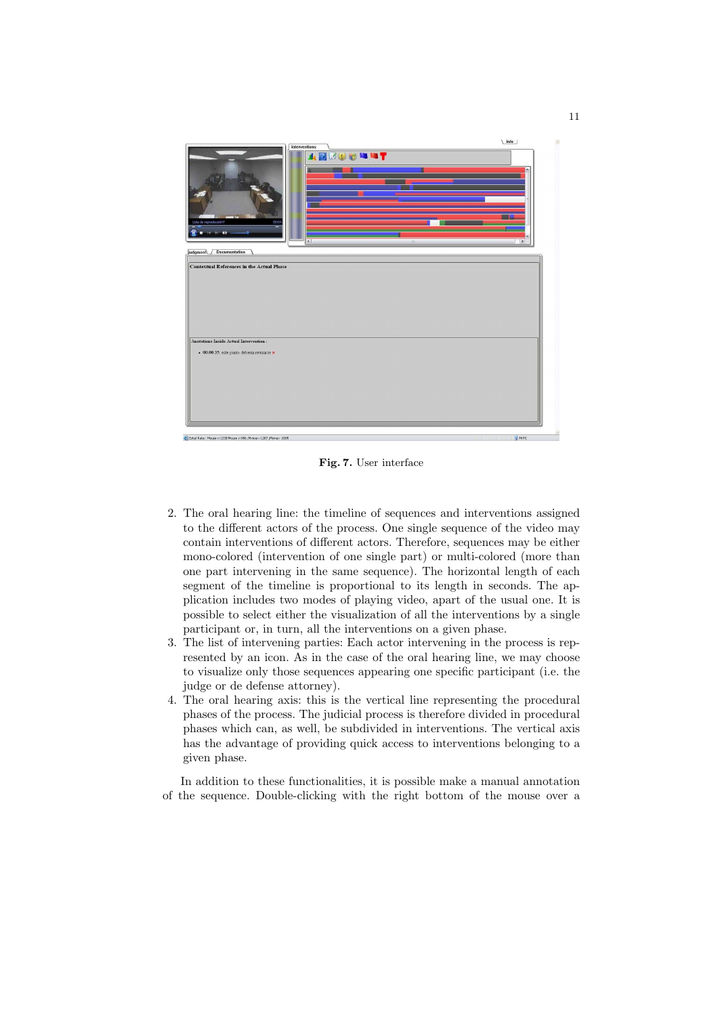

Fig. 7. User interface

- 2. The oral hearing line: the timeline of sequences and interventions assigned to the different actors of the process. One single sequence of the video may contain interventions of different actors. Therefore, sequences may be either mono-colored (intervention of one single part) or multi-colored (more than one part intervening in the same sequence). The horizontal length of each segment of the timeline is proportional to its length in seconds. The application includes two modes of playing video, apart of the usual one. It is possible to select either the visualization of all the interventions by a single participant or, in turn, all the interventions on a given phase.
- 3. The list of intervening parties: Each actor intervening in the process is represented by an icon. As in the case of the oral hearing line, we may choose to visualize only those sequences appearing one specific participant (i.e. the judge or de defense attorney).
- 4. The oral hearing axis: this is the vertical line representing the procedural phases of the process. The judicial process is therefore divided in procedural phases which can, as well, be subdivided in interventions. The vertical axis has the advantage of providing quick access to interventions belonging to a given phase.

In addition to these functionalities, it is possible make a manual annotation of the sequence. Double-clicking with the right bottom of the mouse over a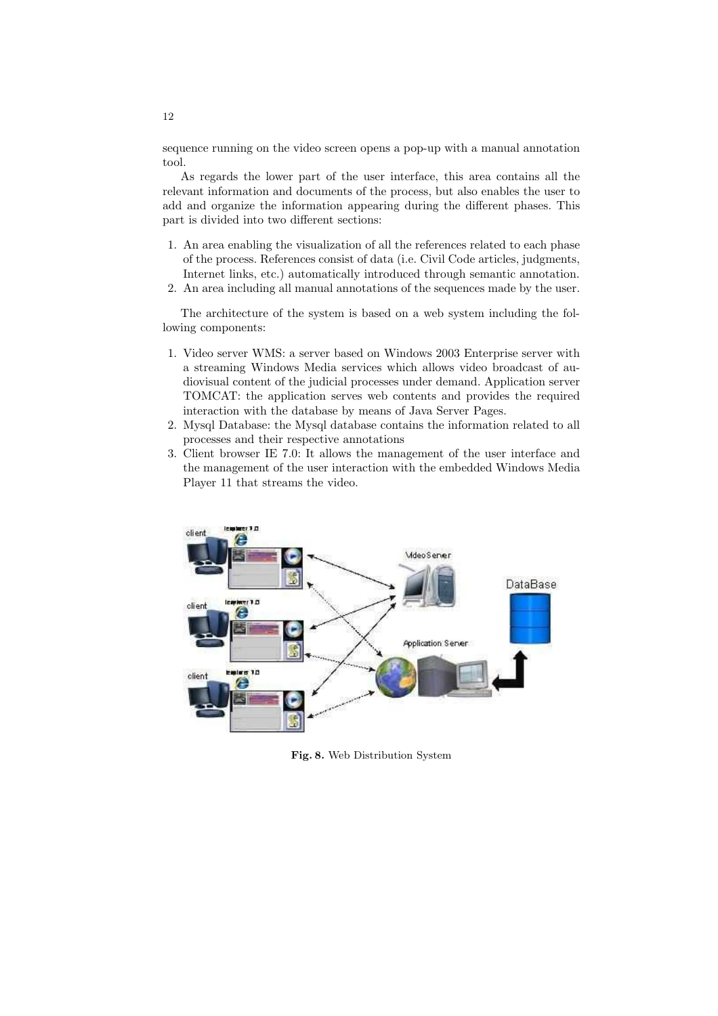sequence running on the video screen opens a pop-up with a manual annotation tool.

As regards the lower part of the user interface, this area contains all the relevant information and documents of the process, but also enables the user to add and organize the information appearing during the different phases. This part is divided into two different sections:

- 1. An area enabling the visualization of all the references related to each phase of the process. References consist of data (i.e. Civil Code articles, judgments, Internet links, etc.) automatically introduced through semantic annotation.
- 2. An area including all manual annotations of the sequences made by the user.

The architecture of the system is based on a web system including the following components:

- 1. Video server WMS: a server based on Windows 2003 Enterprise server with a streaming Windows Media services which allows video broadcast of audiovisual content of the judicial processes under demand. Application server TOMCAT: the application serves web contents and provides the required interaction with the database by means of Java Server Pages.
- 2. Mysql Database: the Mysql database contains the information related to all processes and their respective annotations
- 3. Client browser IE 7.0: It allows the management of the user interface and the management of the user interaction with the embedded Windows Media Player 11 that streams the video.



Fig. 8. Web Distribution System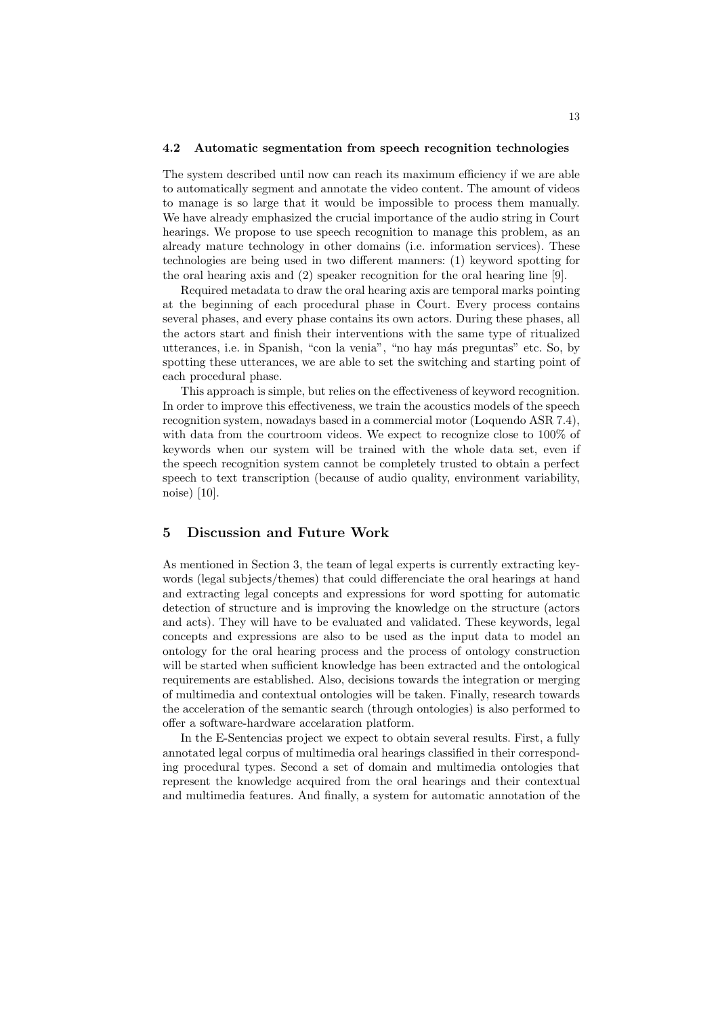#### 4.2 Automatic segmentation from speech recognition technologies

The system described until now can reach its maximum efficiency if we are able to automatically segment and annotate the video content. The amount of videos to manage is so large that it would be impossible to process them manually. We have already emphasized the crucial importance of the audio string in Court hearings. We propose to use speech recognition to manage this problem, as an already mature technology in other domains (i.e. information services). These technologies are being used in two different manners: (1) keyword spotting for the oral hearing axis and (2) speaker recognition for the oral hearing line [9].

Required metadata to draw the oral hearing axis are temporal marks pointing at the beginning of each procedural phase in Court. Every process contains several phases, and every phase contains its own actors. During these phases, all the actors start and finish their interventions with the same type of ritualized utterances, i.e. in Spanish, "con la venia", "no hay más preguntas" etc. So, by spotting these utterances, we are able to set the switching and starting point of each procedural phase.

This approach is simple, but relies on the effectiveness of keyword recognition. In order to improve this effectiveness, we train the acoustics models of the speech recognition system, nowadays based in a commercial motor (Loquendo ASR 7.4), with data from the courtroom videos. We expect to recognize close to 100% of keywords when our system will be trained with the whole data set, even if the speech recognition system cannot be completely trusted to obtain a perfect speech to text transcription (because of audio quality, environment variability, noise) [10].

## 5 Discussion and Future Work

As mentioned in Section 3, the team of legal experts is currently extracting keywords (legal subjects/themes) that could differenciate the oral hearings at hand and extracting legal concepts and expressions for word spotting for automatic detection of structure and is improving the knowledge on the structure (actors and acts). They will have to be evaluated and validated. These keywords, legal concepts and expressions are also to be used as the input data to model an ontology for the oral hearing process and the process of ontology construction will be started when sufficient knowledge has been extracted and the ontological requirements are established. Also, decisions towards the integration or merging of multimedia and contextual ontologies will be taken. Finally, research towards the acceleration of the semantic search (through ontologies) is also performed to offer a software-hardware accelaration platform.

In the E-Sentencias project we expect to obtain several results. First, a fully annotated legal corpus of multimedia oral hearings classified in their corresponding procedural types. Second a set of domain and multimedia ontologies that represent the knowledge acquired from the oral hearings and their contextual and multimedia features. And finally, a system for automatic annotation of the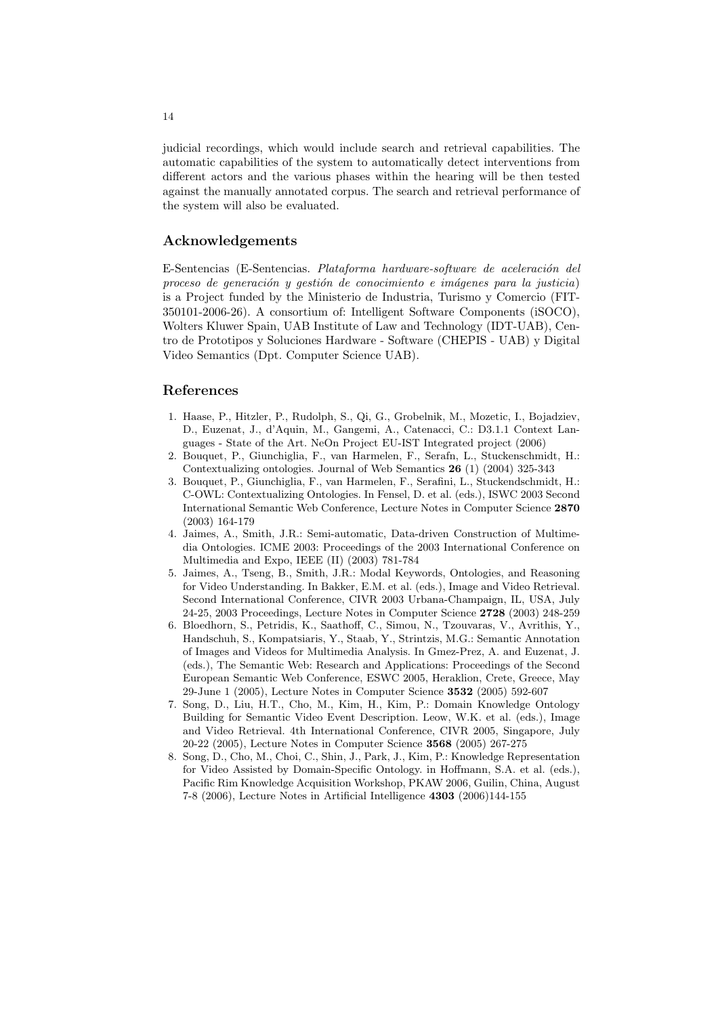judicial recordings, which would include search and retrieval capabilities. The automatic capabilities of the system to automatically detect interventions from different actors and the various phases within the hearing will be then tested against the manually annotated corpus. The search and retrieval performance of the system will also be evaluated.

## Acknowledgements

E-Sentencias (E-Sentencias. Plataforma hardware-software de aceleración del proceso de generación y gestión de conocimiento e imágenes para la justicia) is a Project funded by the Ministerio de Industria, Turismo y Comercio (FIT-350101-2006-26). A consortium of: Intelligent Software Components (iSOCO), Wolters Kluwer Spain, UAB Institute of Law and Technology (IDT-UAB), Centro de Prototipos y Soluciones Hardware - Software (CHEPIS - UAB) y Digital Video Semantics (Dpt. Computer Science UAB).

# References

- 1. Haase, P., Hitzler, P., Rudolph, S., Qi, G., Grobelnik, M., Mozetic, I., Bojadziev, D., Euzenat, J., d'Aquin, M., Gangemi, A., Catenacci, C.: D3.1.1 Context Languages - State of the Art. NeOn Project EU-IST Integrated project (2006)
- 2. Bouquet, P., Giunchiglia, F., van Harmelen, F., Serafn, L., Stuckenschmidt, H.: Contextualizing ontologies. Journal of Web Semantics 26 (1) (2004) 325-343
- 3. Bouquet, P., Giunchiglia, F., van Harmelen, F., Serafini, L., Stuckendschmidt, H.: C-OWL: Contextualizing Ontologies. In Fensel, D. et al. (eds.), ISWC 2003 Second International Semantic Web Conference, Lecture Notes in Computer Science 2870 (2003) 164-179
- 4. Jaimes, A., Smith, J.R.: Semi-automatic, Data-driven Construction of Multimedia Ontologies. ICME 2003: Proceedings of the 2003 International Conference on Multimedia and Expo, IEEE (II) (2003) 781-784
- 5. Jaimes, A., Tseng, B., Smith, J.R.: Modal Keywords, Ontologies, and Reasoning for Video Understanding. In Bakker, E.M. et al. (eds.), Image and Video Retrieval. Second International Conference, CIVR 2003 Urbana-Champaign, IL, USA, July 24-25, 2003 Proceedings, Lecture Notes in Computer Science 2728 (2003) 248-259
- 6. Bloedhorn, S., Petridis, K., Saathoff, C., Simou, N., Tzouvaras, V., Avrithis, Y., Handschuh, S., Kompatsiaris, Y., Staab, Y., Strintzis, M.G.: Semantic Annotation of Images and Videos for Multimedia Analysis. In Gmez-Prez, A. and Euzenat, J. (eds.), The Semantic Web: Research and Applications: Proceedings of the Second European Semantic Web Conference, ESWC 2005, Heraklion, Crete, Greece, May 29-June 1 (2005), Lecture Notes in Computer Science 3532 (2005) 592-607
- 7. Song, D., Liu, H.T., Cho, M., Kim, H., Kim, P.: Domain Knowledge Ontology Building for Semantic Video Event Description. Leow, W.K. et al. (eds.), Image and Video Retrieval. 4th International Conference, CIVR 2005, Singapore, July 20-22 (2005), Lecture Notes in Computer Science 3568 (2005) 267-275
- 8. Song, D., Cho, M., Choi, C., Shin, J., Park, J., Kim, P.: Knowledge Representation for Video Assisted by Domain-Specific Ontology. in Hoffmann, S.A. et al. (eds.), Pacific Rim Knowledge Acquisition Workshop, PKAW 2006, Guilin, China, August 7-8 (2006), Lecture Notes in Artificial Intelligence 4303 (2006)144-155